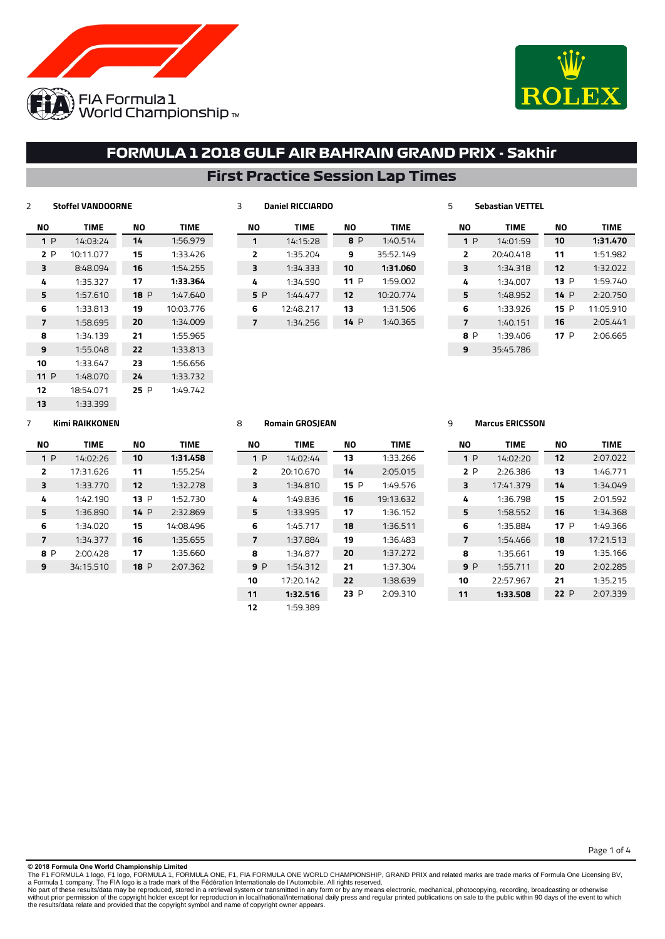



## **First Practice Session Lap Times**

### **Stoffel VANDOORNE**

| NΟ   | <b>TIME</b> | NΟ   | <b>TIME</b> |
|------|-------------|------|-------------|
| 1P   | 14:03:24    | 14   | 1:56.979    |
| 2P   | 10:11.077   | 15   | 1:33.426    |
| з    | 8:48.094    | 16   | 1:54.255    |
| 4    | 1:35.327    | 17   | 1:33.364    |
| 5    | 1:57.610    | 18 P | 1:47.640    |
| 6    | 1:33.813    | 19   | 10:03.776   |
| 7    | 1:58.695    | 20   | 1:34.009    |
| 8    | 1:34.139    | 21   | 1:55.965    |
| 9    | 1:55.048    | 22   | 1:33.813    |
| 10   | 1:33.647    | 23   | 1:56.656    |
| 11 P | 1:48.070    | 24   | 1:33.732    |
| 12   | 18:54.071   | 25 P | 1:49.747    |
| 13   | 1:33.399    |      |             |
|      |             |      |             |

| NΟ             | <b>TIME</b> | NΟ   | <b>TIME</b> |
|----------------|-------------|------|-------------|
| 1              | 14:15:28    | 8 P  | 1:40.514    |
| $\overline{2}$ | 1:35.204    | 9    | 35:52.149   |
| 3              | 1:34.333    | 10   | 1:31.060    |
| 4              | 1:34.590    | 11P  | 1:59.002    |
| 5 P            | 1:44.477    | 12   | 10:20.774   |
| 6              | 12:48.217   | 13   | 1:31.506    |
| 7              | 1:34.256    | 14 P | 1:40.365    |
|                |             |      |             |

#### **NO TIME** P 14:01:59 20:40.418 1:34.318 1:34.007 1:48.952 1:33.926 1:40.151 P 1:39.406 35:45.786 **NO TIME 1:31.470** 1:51.982 1:32.022 P 1:59.740 P 2:20.750 P 11:05.910 2:05.441 P 2:06.665

### **Kimi RAIKKONEN**

| NΟ             | <b>TIME</b> | NΟ          | <b>TIME</b> |
|----------------|-------------|-------------|-------------|
| 1 P            | 14:02:26    | 10          | 1:31.458    |
| $\overline{2}$ | 17:31.626   | 11          | 1:55.254    |
| з              | 1:33.770    | 12          | 1:32.278    |
| 4              | 1:42.190    | 13 P        | 1:52.730    |
| 5              | 1:36.890    | 14 P        | 2:32.869    |
| 6              | 1:34.020    | 15          | 14:08.496   |
| 7              | 1:34.377    | 16          | 1:35.655    |
| P<br>8         | 2:00.428    | 17          | 1:35.660    |
| 9              | 34:15.510   | <b>18</b> P | 2:07.362    |
|                |             |             |             |

### **Romain GROSJEAN**

**Daniel RICCIARDO**

| NΟ  | <b>TIME</b> | NΟ   | TIME      |
|-----|-------------|------|-----------|
| 1P  | 14:02:44    | 13   | 1:33.266  |
| 2   | 20:10.670   | 14   | 2:05.015  |
| 3   | 1:34.810    | 15P  | 1:49.576  |
| 4   | 1:49.836    | 16   | 19:13.632 |
| 5   | 1:33.995    | 17   | 1:36.152  |
| 6   | 1:45.717    | 18   | 1:36.511  |
| 7   | 1:37.884    | 19   | 1:36.483  |
| 8   | 1:34.877    | 20   | 1:37.272  |
| 9 P | 1:54.312    | 21   | 1:37.304  |
| 10  | 17:20.142   | 22   | 1:38.639  |
| 11  | 1:32.516    | 23 P | 2:09.310  |
| 12  | 1:59.389    |      |           |

### **Marcus ERICSSON**

**Sebastian VETTEL**

| NΟ  | <b>TIME</b> | NΟ   | <b>TIME</b> |
|-----|-------------|------|-------------|
| 1P  | 14:02:20    | 12   | 2:07.022    |
| 2 P | 2:26.386    | 13   | 1:46.771    |
| 3   | 17:41.379   | 14   | 1:34.049    |
| 4   | 1:36.798    | 15   | 2:01.592    |
| 5   | 1:58.552    | 16   | 1:34.368    |
| 6   | 1:35.884    | 17 P | 1:49.366    |
| 7   | 1:54.466    | 18   | 17:21.513   |
| 8   | 1:35.661    | 19   | 1:35.166    |
| 9 P | 1:55.711    | 20   | 2:02.285    |
| 10  | 22:57.967   | 21   | 1:35.215    |
| 11  | 1:33.508    | 22 P | 2:07.339    |

#### Page 1 of 4

**© 2018 Formula One World Championship Limited**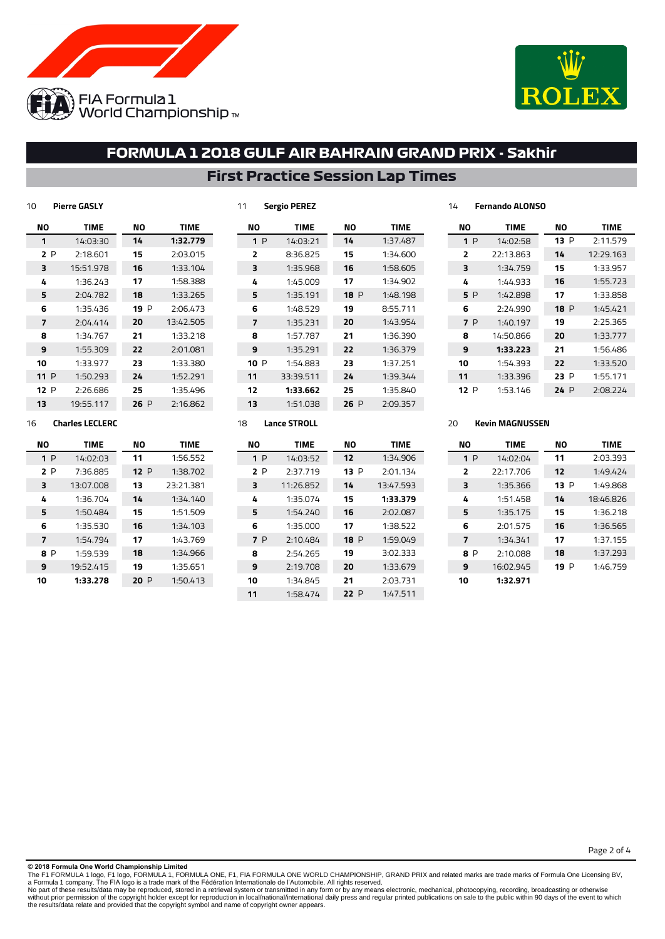



### **First Practice Session Lap Times**

| 10             | <b>Pierre GASLY</b>    |     |             | 11 |                | <b>Sergio PEREZ</b> |      |             | 14 |     | <b>Fernando ALONSO</b> |      |             |
|----------------|------------------------|-----|-------------|----|----------------|---------------------|------|-------------|----|-----|------------------------|------|-------------|
| ΝO             | <b>TIME</b>            | ΝO  | <b>TIME</b> | ΝO |                | <b>TIME</b>         | ΝO   | <b>TIME</b> |    | ΝO  | <b>TIME</b>            | ΝO   | <b>TIME</b> |
| $\mathbf{1}$   | 14:03:30               | 14  | 1:32.779    |    | 1P             | 14:03:21            | 14   | 1:37.487    |    | 1P  | 14:02:58               | 13P  | 2:11.579    |
| 2P             | 2:18.601               | 15  | 2:03.015    |    | 2              | 8:36.825            | 15   | 1:34.600    |    | 2   | 22:13.863              | 14   | 12:29.163   |
| 3              | 15:51.978              | 16  | 1:33.104    |    | 3              | 1:35.968            | 16   | 1:58.605    |    | 3   | 1:34.759               | 15   | 1:33.957    |
| 4              | 1:36.243               | 17  | 1:58.388    |    | 4              | 1:45.009            | 17   | 1:34.902    |    | 4   | 1:44.933               | 16   | 1:55.723    |
| 5              | 2:04.782               | 18  | 1:33.265    |    | 5              | 1:35.191            | 18 P | 1:48.198    |    | 5 P | 1:42.898               | 17   | 1:33.858    |
| 6              | 1:35.436               | 19P | 2:06.473    |    | 6              | 1:48.529            | 19   | 8:55.711    |    | 6   | 2:24.990               | 18P  | 1:45.421    |
| $\overline{7}$ | 2:04.414               | 20  | 13:42.505   |    | $\overline{7}$ | 1:35.231            | 20   | 1:43.954    |    | 7 P | 1:40.197               | 19   | 2:25.365    |
| 8              | 1:34.767               | 21  | 1:33.218    |    | 8              | 1:57.787            | 21   | 1:36.390    |    | 8   | 14:50.866              | 20   | 1:33.777    |
| 9              | 1:55.309               | 22  | 2:01.081    |    | 9              | 1:35.291            | 22   | 1:36.379    |    | 9   | 1:33.223               | 21   | 1:56.486    |
| 10             | 1:33.977               | 23  | 1:33.380    |    | 10 P           | 1:54.883            | 23   | 1:37.251    |    | 10  | 1:54.393               | 22   | 1:33.520    |
| 11P            | 1:50.293               | 24  | 1:52.291    | 11 |                | 33:39.511           | 24   | 1:39.344    |    | 11  | 1:33.396               | 23 P | 1:55.171    |
| 12P            | 2:26.686               | 25  | 1:35.496    | 12 |                | 1:33.662            | 25   | 1:35.840    |    | 12P | 1:53.146               | 24 P | 2:08.224    |
| 13             | 19:55.117              | 26P | 2:16.862    | 13 |                | 1:51.038            | 26P  | 2:09.357    |    |     |                        |      |             |
| 16             | <b>Charles LECLERC</b> |     |             | 18 |                | <b>Lance STROLL</b> |      |             | 20 |     | <b>Kevin MAGNUSSEN</b> |      |             |
| ΝO             | <b>TIME</b>            | ΝO  | <b>TIME</b> | ΝO |                | TIME                | ΝO   | TIME        |    | ΝO  | <b>TIME</b>            | ΝO   | <b>TIME</b> |

| NΟ     | <b>TIME</b> | NΟ  | <b>TIME</b> |
|--------|-------------|-----|-------------|
| 1P     | 14:02:03    | 11  | 1:56.552    |
| 2 P    | 7:36.885    | 12P | 1:38.702    |
| 3      | 13:07.008   | 13  | 23:21.381   |
| 4      | 1:36.704    | 14  | 1:34.140    |
| 5      | 1:50.484    | 15  | 1:51.509    |
| 6      | 1:35.530    | 16  | 1:34.103    |
| 7      | 1:54.794    | 17  | 1:43.769    |
| P<br>я | 1:59.539    | 18  | 1:34.966    |

 19:52.415 **1:33.278**

| ΝO  | <b>TIME</b> | <b>NO</b> | <b>TIME</b> | NO. | <b>TIME</b> |
|-----|-------------|-----------|-------------|-----|-------------|
| 11  | 1:56.552    | 1P        | 14:03:52    | 12  | 1:34.906    |
| 12P | 1:38.702    | 2P        | 2:37.719    | 13P | 2:01.134    |
| 13  | 23:21.381   | 3         | 11:26.852   | 14  | 13:47.593   |
| 14  | 1:34.140    | 4         | 1:35.074    | 15  | 1:33.379    |
| 15  | 1:51.509    | 5         | 1:54.240    | 16  | 2:02.087    |
| 16  | 1:34.103    | 6         | 1:35.000    | 17  | 1:38.522    |
| 17  | 1:43.769    | 7P        | 2:10.484    | 18P | 1:59.049    |
| 18  | 1:34.966    | 8         | 2:54.265    | 19  | 3:02.333    |
| 19  | 1:35.651    | 9         | 2:19.708    | 20  | 1:33.679    |
| 20P | 1:50.413    | 10        | 1:34.845    | 21  | 2:03.731    |
|     |             | 11        | 1:58.474    | 22P | 1:47.511    |

| NΟ             | <b>TIME</b> | NΟ   | <b>TIME</b> |
|----------------|-------------|------|-------------|
| 1P             | 14:02:04    | 11   | 2:03.393    |
| $\overline{2}$ | 22:17.706   | 12   | 1:49.424    |
| 3              | 1:35.366    | 13 P | 1:49.868    |
| 4              | 1:51.458    | 14   | 18:46.826   |
| 5              | 1:35.175    | 15   | 1:36.218    |
| 6              | 2:01.575    | 16   | 1:36.565    |
| 7              | 1:34.341    | 17   | 1:37.155    |
| 8 P            | 2:10.088    | 18   | 1:37.293    |
| 9              | 16:02.945   | 19 P | 1:46.759    |
| 10             | 1:32.971    |      |             |

Page 2 of 4

**© 2018 Formula One World Championship Limited**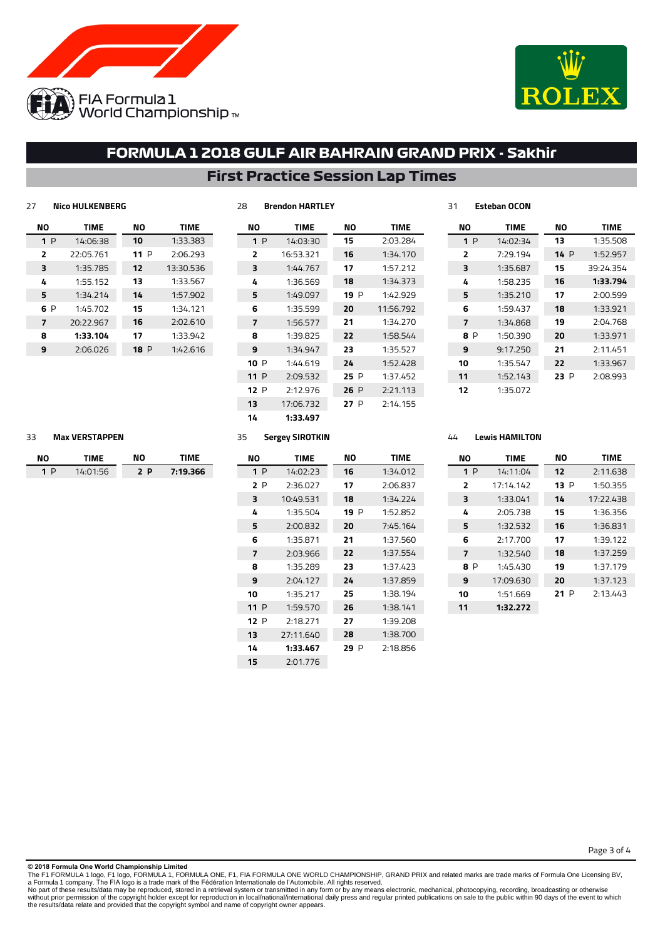



# **First Practice Session Lap Times**

#### **Nico HULKENBERG**

| NΟ             | <b>TIME</b> | NΟ          | <b>TIME</b> |
|----------------|-------------|-------------|-------------|
| 1P             | 14:06:38    | 10          | 1:33.383    |
| $\overline{2}$ | 22:05.761   | 11 P        | 2:06.293    |
| з              | 1:35.785    | 12          | 13:30.536   |
| 4              | 1:55.152    | 13          | 1:33.567    |
| 5              | 1:34.214    | 14          | 1:57.902    |
| 6 P            | 1:45.702    | 15          | 1:34.121    |
| 7              | 20:22.967   | 16          | 2:02.610    |
| 8              | 1:33.104    | 17          | 1:33.942    |
| 9              | 2:06.026    | <b>18</b> P | 1:42.616    |
|                |             |             |             |

| NΟ   | <b>TIME</b> | NΟ   | TIME      |
|------|-------------|------|-----------|
| 1P   | 14:03:30    | 15   | 2:03.284  |
| 2    | 16:53.321   | 16   | 1:34.170  |
| 3    | 1:44.767    | 17   | 1:57.212  |
| 4    | 1:36.569    | 18   | 1:34.373  |
| 5    | 1:49.097    | 19 P | 1:42.929  |
| 6    | 1:35.599    | 20   | 11:56.792 |
| 7    | 1:56.577    | 21   | 1:34.270  |
| 8    | 1:39.825    | 22   | 1:58.544  |
| 9    | 1:34.947    | 23   | 1:35.527  |
| 10P  | 1:44.619    | 24   | 1:52.428  |
| 11 P | 2:09.532    | 25 P | 1:37.452  |
| 12P  | 2:12.976    | 26 P | 2:21.113  |
| 13   | 17:06.732   | 27 P | 2:14.155  |
| 14   | 1:33.497    |      |           |
|      |             |      |           |

| NΟ                      | <b>TIME</b> | NΟ   | <b>TIME</b> |
|-------------------------|-------------|------|-------------|
| 1 P                     | 14:02:34    | 13   | 1:35.508    |
| $\overline{\mathbf{z}}$ | 7:29.194    | 14 P | 1:52.957    |
| 3                       | 1:35.687    | 15   | 39:24.354   |
| 4                       | 1:58.235    | 16   | 1:33.794    |
| 5                       | 1:35.210    | 17   | 2:00.599    |
| 6                       | 1:59.437    | 18   | 1:33.921    |
| 7                       | 1:34.868    | 19   | 2:04.768    |
| 8 P                     | 1:50.390    | 20   | 1:33.971    |
| 9                       | 9:17.250    | 21   | 2:11.451    |
| 10                      | 1:35.547    | 22   | 1:33.967    |
| 11                      | 1:52.143    | 23 P | 2:08.993    |
| 12                      | 1:35.072    |      |             |

### **Max VERSTAPPEN**

| NΟ | 'IMF     | NΟ  | liM⊩     |
|----|----------|-----|----------|
|    | 14:01:56 | 2 P | 7:19.366 |

### **Sergey SIROTKIN**

**Brendon HARTLEY**

| NΟ   | <b>TIME</b> | NΟ   | <b>TIME</b> |  |  |
|------|-------------|------|-------------|--|--|
| 1 P  | 14:02:23    | 16   | 1:34.012    |  |  |
| 2P   | 2:36.027    | 17   | 2:06.837    |  |  |
| 3    | 10:49.531   | 18   | 1:34.224    |  |  |
| 4    | 1:35.504    | 19 P | 1:52.852    |  |  |
| 5    | 2:00.832    | 20   | 7:45.164    |  |  |
| 6    | 1:35.871    | 21   | 1:37.560    |  |  |
| 7    | 2:03.966    | 22   | 1:37.554    |  |  |
| 8    | 1:35.289    | 23   | 1:37.423    |  |  |
| 9    | 2:04.127    | 24   | 1:37.859    |  |  |
| 10   | 1:35.217    | 25   | 1:38.194    |  |  |
| 11 P | 1:59.570    | 26   | 1:38.141    |  |  |
| 12 P | 2:18.271    | 27   | 1:39.208    |  |  |
| 13   | 27:11.640   | 28   | 1:38.700    |  |  |
| 14   | 1:33.467    | 29 P | 2:18.856    |  |  |
| 15   | 2:01.776    |      |             |  |  |

### **Lewis HAMILTON**

**Esteban OCON**

| NΟ  | <b>TIME</b> | NΟ   | <b>TIME</b> |  |  |
|-----|-------------|------|-------------|--|--|
| 1P  | 14:11:04    | 12   | 2:11.638    |  |  |
| 2   | 17:14.142   | 13 P | 1:50.355    |  |  |
| 3   | 1:33.041    | 14   | 17:22.438   |  |  |
| 4   | 2:05.738    | 15   | 1:36.356    |  |  |
| 5   | 1:32.532    | 16   | 1:36.831    |  |  |
| 6   | 2:17.700    | 17   | 1:39.122    |  |  |
| 7   | 1:32.540    | 18   | 1:37.259    |  |  |
| 8 P | 1:45.430    | 19   | 1:37.179    |  |  |
| 9   | 17:09.630   | 20   | 1:37.123    |  |  |
| 10  | 1:51.669    | 21 P | 2:13.443    |  |  |
| 11  | 1:32.272    |      |             |  |  |

Page 3 of 4

**© 2018 Formula One World Championship Limited**